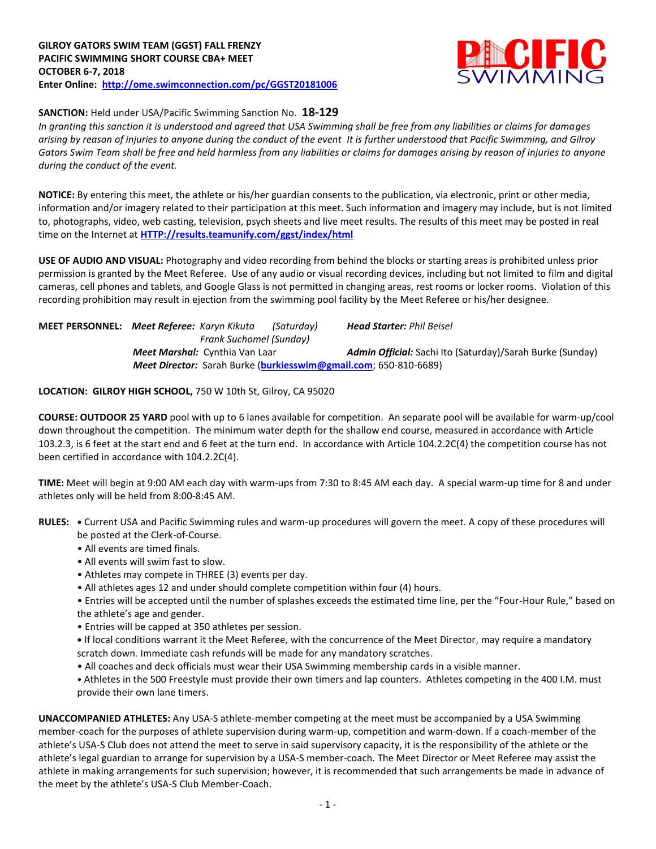

## **SANCTION:** Held under USA/Pacific Swimming Sanction No. **18-129**

*In granting this sanction it is understood and agreed that USA Swimming shall be free from any liabilities or claims for damages arising by reason of injuries to anyone during the conduct of the event It is further understood that Pacific Swimming, and Gilroy Gators Swim Team shall be free and held harmless from any liabilities or claims for damages arising by reason of injuries to anyone during the conduct of the event.*

**NOTICE:** By entering this meet, the athlete or his/her guardian consents to the publication, via electronic, print or other media, information and/or imagery related to their participation at this meet. Such information and imagery may include, but is not limited to, photographs, video, web casting, television, psych sheets and live meet results. The results of this meet may be posted in real time on the Internet at **[HTTP://results.teamunify.com/ggst/index/html](http://results.teamunify.com/ggst/index/html)**

**USE OF AUDIO AND VISUAL:** Photography and video recording from behind the blocks or starting areas is prohibited unless prior permission is granted by the Meet Referee. Use of any audio or visual recording devices, including but not limited to film and digital cameras, cell phones and tablets, and Google Glass is not permitted in changing areas, rest rooms or locker rooms. Violation of this recording prohibition may result in ejection from the swimming pool facility by the Meet Referee or his/her designee.

**MEET PERSONNEL:** *Meet Referee: Karyn Kikuta (Saturday) Head Starter: Phil Beisel*  *Frank Suchomel (Sunday) Meet Marshal:* Cynthia Van Laar *Admin Official:* **Sachi Ito (Saturday)/Sarah Burke (Sunday)**  *Meet Director:* Sarah Burke (**[burkiesswim@gmail.com](mailto:burkiesswim@gmail.com)**; 650-810-6689)

## **LOCATION: GILROY HIGH SCHOOL,** 750 W 10th St, Gilroy, CA 95020

**COURSE: OUTDOOR 25 YARD** pool with up to 6 lanes available for competition.An separate pool will be available for warm-up/cool down throughout the competition. The minimum water depth for the shallow end course, measured in accordance with Article 103.2.3, is 6 feet at the start end and 6 feet at the turn end. In accordance with Article 104.2.2C(4) the competition course has not been certified in accordance with 104.2.2C(4).

**TIME:** Meet will begin at 9:00 AM each day with warm-ups from 7:30 to 8:45 AM each day. A special warm-up time for 8 and under athletes only will be held from 8:00-8:45 AM.

- **RULES: •** Current USA and Pacific Swimming rules and warm-up procedures will govern the meet. A copy of these procedures will be posted at the Clerk-of-Course.
	- All events are timed finals.
	- All events will swim fast to slow.
	- Athletes may compete in THREE (3) events per day.
	- All athletes ages 12 and under should complete competition within four (4) hours.
	- Entries will be accepted until the number of splashes exceeds the estimated time line, per the "Four-Hour Rule," based on the athlete's age and gender.
	- Entries will be capped at 350 athletes per session.
	- **•** If local conditions warrant it the Meet Referee, with the concurrence of the Meet Director, may require a mandatory scratch down. Immediate cash refunds will be made for any mandatory scratches.
	- All coaches and deck officials must wear their USA Swimming membership cards in a visible manner.
	- Athletes in the 500 Freestyle must provide their own timers and lap counters. Athletes competing in the 400 I.M. must provide their own lane timers.

**UNACCOMPANIED ATHLETES:** Any USA-S athlete-member competing at the meet must be accompanied by a USA Swimming member-coach for the purposes of athlete supervision during warm-up, competition and warm-down. If a coach-member of the athlete's USA-S Club does not attend the meet to serve in said supervisory capacity, it is the responsibility of the athlete or the athlete's legal guardian to arrange for supervision by a USA-S member-coach. The Meet Director or Meet Referee may assist the athlete in making arrangements for such supervision; however, it is recommended that such arrangements be made in advance of the meet by the athlete's USA-S Club Member-Coach.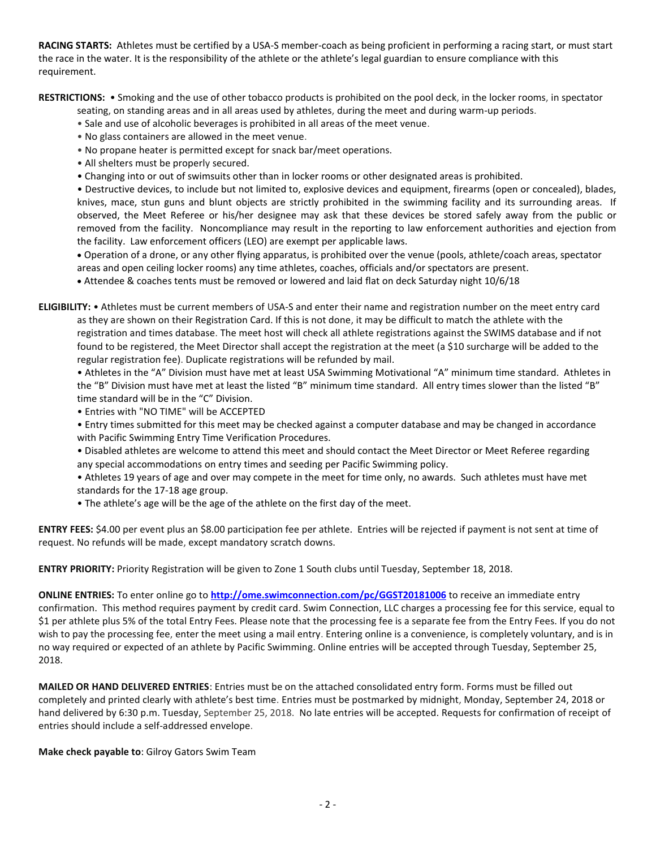**RACING STARTS:** Athletes must be certified by a USA-S member-coach as being proficient in performing a racing start, or must start the race in the water. It is the responsibility of the athlete or the athlete's legal guardian to ensure compliance with this requirement.

**RESTRICTIONS:** • Smoking and the use of other tobacco products is prohibited on the pool deck, in the locker rooms, in spectator

- seating, on standing areas and in all areas used by athletes, during the meet and during warm-up periods.
- Sale and use of alcoholic beverages is prohibited in all areas of the meet venue.
- No glass containers are allowed in the meet venue.
- No propane heater is permitted except for snack bar/meet operations.
- All shelters must be properly secured.
- Changing into or out of swimsuits other than in locker rooms or other designated areas is prohibited.

• Destructive devices, to include but not limited to, explosive devices and equipment, firearms (open or concealed), blades, knives, mace, stun guns and blunt objects are strictly prohibited in the swimming facility and its surrounding areas. If observed, the Meet Referee or his/her designee may ask that these devices be stored safely away from the public or removed from the facility. Noncompliance may result in the reporting to law enforcement authorities and ejection from the facility. Law enforcement officers (LEO) are exempt per applicable laws.

 Operation of a drone, or any other flying apparatus, is prohibited over the venue (pools, athlete/coach areas, spectator areas and open ceiling locker rooms) any time athletes, coaches, officials and/or spectators are present.

Attendee & coaches tents must be removed or lowered and laid flat on deck Saturday night 10/6/18

**ELIGIBILITY:** • Athletes must be current members of USA-S and enter their name and registration number on the meet entry card as they are shown on their Registration Card. If this is not done, it may be difficult to match the athlete with the registration and times database. The meet host will check all athlete registrations against the SWIMS database and if not found to be registered, the Meet Director shall accept the registration at the meet (a \$10 surcharge will be added to the regular registration fee). Duplicate registrations will be refunded by mail.

• Athletes in the "A" Division must have met at least USA Swimming Motivational "A" minimum time standard. Athletes in the "B" Division must have met at least the listed "B" minimum time standard. All entry times slower than the listed "B" time standard will be in the "C" Division.

• Entries with "NO TIME" will be ACCEPTED

• Entry times submitted for this meet may be checked against a computer database and may be changed in accordance with Pacific Swimming Entry Time Verification Procedures.

- Disabled athletes are welcome to attend this meet and should contact the Meet Director or Meet Referee regarding any special accommodations on entry times and seeding per Pacific Swimming policy.
- Athletes 19 years of age and over may compete in the meet for time only, no awards. Such athletes must have met standards for the 17-18 age group.
- The athlete's age will be the age of the athlete on the first day of the meet.

**ENTRY FEES:** \$4.00 per event plus an \$8.00 participation fee per athlete. Entries will be rejected if payment is not sent at time of request. No refunds will be made, except mandatory scratch downs.

**ENTRY PRIORITY:** Priority Registration will be given to Zone 1 South clubs until Tuesday, September 18, 2018.

**ONLINE ENTRIES:** To enter online go to **<http://ome.swimconnection.com/pc/GGST20181006>** to receive an immediate entry confirmation. This method requires payment by credit card. Swim Connection, LLC charges a processing fee for this service, equal to \$1 per athlete plus 5% of the total Entry Fees. Please note that the processing fee is a separate fee from the Entry Fees. If you do not wish to pay the processing fee, enter the meet using a mail entry. Entering online is a convenience, is completely voluntary, and is in no way required or expected of an athlete by Pacific Swimming. Online entries will be accepted through Tuesday, September 25, 2018.

**MAILED OR HAND DELIVERED ENTRIES**: Entries must be on the attached consolidated entry form. Forms must be filled out completely and printed clearly with athlete's best time. Entries must be postmarked by midnight, Monday, September 24, 2018 or hand delivered by 6:30 p.m. Tuesday, September 25, 2018. No late entries will be accepted. Requests for confirmation of receipt of entries should include a self-addressed envelope.

**Make check payable to**: Gilroy Gators Swim Team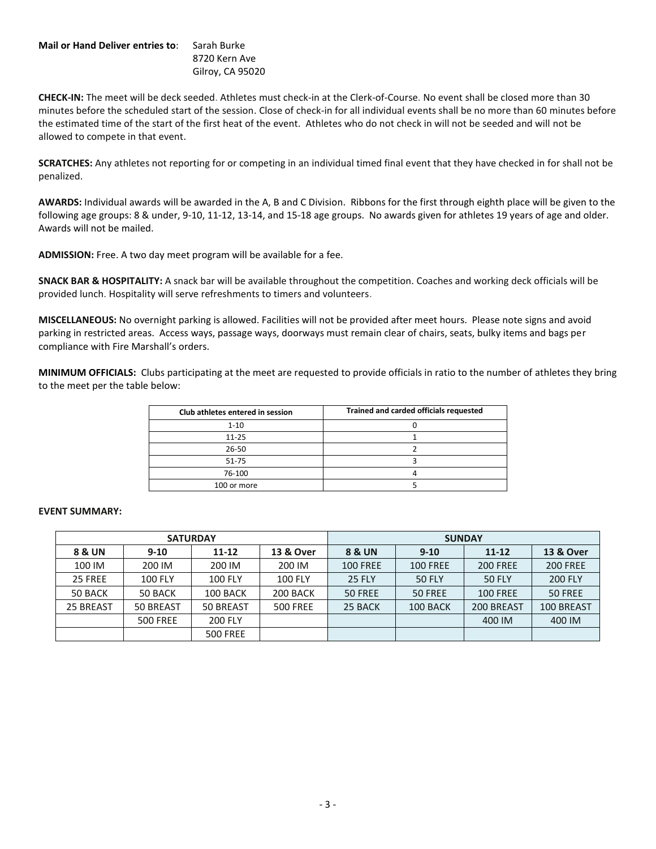## **Mail or Hand Deliver entries to**: Sarah Burke 8720 Kern Ave Gilroy, CA 95020

**CHECK-IN:** The meet will be deck seeded. Athletes must check-in at the Clerk-of-Course. No event shall be closed more than 30 minutes before the scheduled start of the session. Close of check-in for all individual events shall be no more than 60 minutes before the estimated time of the start of the first heat of the event. Athletes who do not check in will not be seeded and will not be allowed to compete in that event.

**SCRATCHES:** Any athletes not reporting for or competing in an individual timed final event that they have checked in for shall not be penalized.

**AWARDS:** Individual awards will be awarded in the A, B and C Division. Ribbons for the first through eighth place will be given to the following age groups: 8 & under, 9-10, 11-12, 13-14, and 15-18 age groups. No awards given for athletes 19 years of age and older. Awards will not be mailed.

**ADMISSION:** Free. A two day meet program will be available for a fee.

**SNACK BAR & HOSPITALITY:** A snack bar will be available throughout the competition. Coaches and working deck officials will be provided lunch. Hospitality will serve refreshments to timers and volunteers.

**MISCELLANEOUS:** No overnight parking is allowed. Facilities will not be provided after meet hours. Please note signs and avoid parking in restricted areas. Access ways, passage ways, doorways must remain clear of chairs, seats, bulky items and bags per compliance with Fire Marshall's orders.

**MINIMUM OFFICIALS:** Clubs participating at the meet are requested to provide officials in ratio to the number of athletes they bring to the meet per the table below:

| Club athletes entered in session | Trained and carded officials requested |
|----------------------------------|----------------------------------------|
| $1 - 10$                         |                                        |
| $11 - 25$                        |                                        |
| 26-50                            |                                        |
| 51-75                            |                                        |
| 76-100                           |                                        |
| 100 or more                      |                                        |

## **EVENT SUMMARY:**

|           |                 | <b>SATURDAY</b> |                      | <b>SUNDAY</b>     |                 |                 |                      |  |  |  |
|-----------|-----------------|-----------------|----------------------|-------------------|-----------------|-----------------|----------------------|--|--|--|
| 8 & UN    | $9-10$          | $11 - 12$       | <b>13 &amp; Over</b> | <b>8 &amp; UN</b> | $9 - 10$        | $11 - 12$       | <b>13 &amp; Over</b> |  |  |  |
| 100 IM    | 200 IM          | 200 IM          | 200 IM               | <b>100 FREE</b>   | <b>100 FREE</b> | <b>200 FREE</b> | <b>200 FREE</b>      |  |  |  |
| 25 FREE   | <b>100 FLY</b>  | <b>100 FLY</b>  | <b>100 FLY</b>       | <b>25 FLY</b>     | <b>50 FLY</b>   | 50 FLY          | <b>200 FLY</b>       |  |  |  |
| 50 BACK   | 50 BACK         | 100 BACK        | 200 BACK             | 50 FREE           | 50 FREE         | <b>100 FREE</b> | 50 FREE              |  |  |  |
| 25 BREAST | 50 BREAST       | 50 BREAST       | <b>500 FREE</b>      | 25 BACK           | 100 BACK        | 200 BREAST      | 100 BREAST           |  |  |  |
|           | <b>500 FREE</b> | <b>200 FLY</b>  |                      |                   |                 | 400 IM          | 400 IM               |  |  |  |
|           |                 | <b>500 FREE</b> |                      |                   |                 |                 |                      |  |  |  |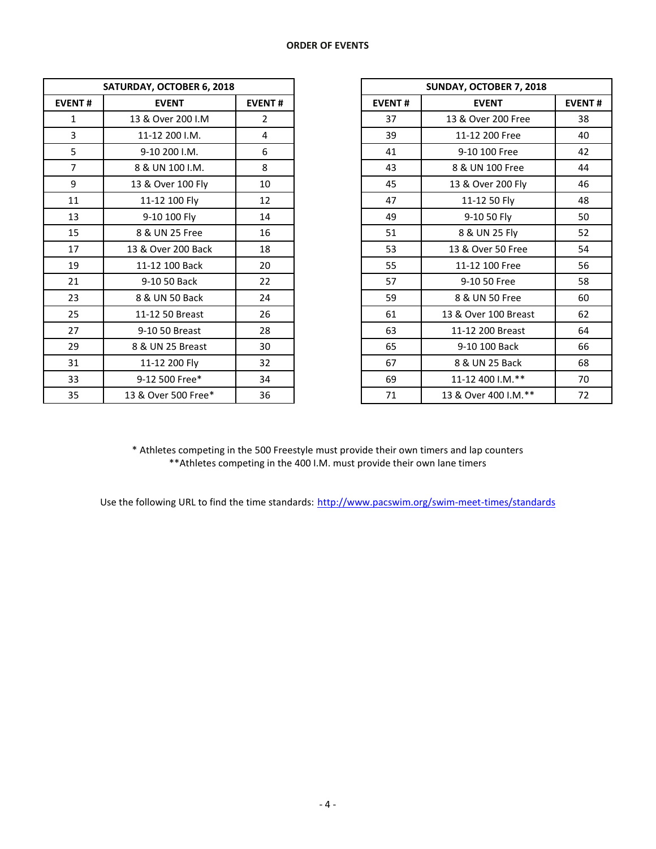| SATURDAY, OCTOBER 6, 2018 |                     |                |               | SUNDAY, OCTOBER 7, 2018 |
|---------------------------|---------------------|----------------|---------------|-------------------------|
| <b>EVENT#</b>             | <b>EVENT</b>        | <b>EVENT#</b>  | <b>EVENT#</b> | <b>EVENT</b>            |
| $\mathbf{1}$              | 13 & Over 200 I.M   | $\overline{2}$ | 37            | 13 & Over 200 Free      |
| 3                         | 11-12 200 I.M.      | 4              | 39            | 11-12 200 Free          |
| 5                         | 9-10 200 I.M.       | 6              | 41            | 9-10 100 Free           |
| $\overline{7}$            | 8 & UN 100 I.M.     | 8              | 43            | 8 & UN 100 Free         |
| 9                         | 13 & Over 100 Fly   | 10             | 45            | 13 & Over 200 Fly       |
| 11                        | 11-12 100 Fly       | 12             | 47            | 11-12 50 Fly            |
| 13                        | 9-10 100 Fly        | 14             | 49            | 9-10 50 Fly             |
| 15                        | 8 & UN 25 Free      | 16             | 51            | 8 & UN 25 Fly           |
| 17                        | 13 & Over 200 Back  | 18             | 53            | 13 & Over 50 Free       |
| 19                        | 11-12 100 Back      | 20             | 55            | 11-12 100 Free          |
| 21                        | 9-10 50 Back        | 22             | 57            | 9-10 50 Free            |
| 23                        | 8 & UN 50 Back      | 24             | 59            | 8 & UN 50 Free          |
| 25                        | 11-12 50 Breast     | 26             | 61            | 13 & Over 100 Breast    |
| 27                        | 9-10 50 Breast      | 28             | 63            | 11-12 200 Breast        |
| 29                        | 8 & UN 25 Breast    | 30             | 65            | 9-10 100 Back           |
| 31                        | 11-12 200 Fly       | 32             | 67            | 8 & UN 25 Back          |
| 33                        | 9-12 500 Free*      | 34             | 69            | 11-12 400 I.M.**        |
| 35                        | 13 & Over 500 Free* | 36             | 71            | 13 & Over 400 I.M.**    |

|                | SATURDAY, OCTOBER 6, 2018 |                |
|----------------|---------------------------|----------------|
| <b>EVENT#</b>  | <b>EVENT</b>              | <b>EVENT#</b>  |
| $\mathbf{1}$   | 13 & Over 200 I.M         | $\overline{2}$ |
| 3              | 11-12 200 I.M.            | 4              |
| 5              | 9-10 200 I.M.             | 6              |
| $\overline{7}$ | 8 & UN 100 I.M.           | 8              |
| 9              | 13 & Over 100 Fly         | 10             |
| 11             | 11-12 100 Fly             | 12             |
| 13             | 9-10 100 Fly              | 14             |
| 15             | 8 & UN 25 Free            | 16             |
| 17             | 13 & Over 200 Back        | 18             |
| 19             | 11-12 100 Back            | 20             |
| 21             | 9-10 50 Back              | 22             |
| 23             | 8 & UN 50 Back            | 24             |
| 25             | 11-12 50 Breast           | 26             |
| 27             | 9-10 50 Breast            | 28             |
| 29             | 8 & UN 25 Breast          | 30             |
| 31             | 11-12 200 Fly             | 32             |
| 33             | 9-12 500 Free*            | 34             |
| 35             | 13 & Over 500 Free*       | 36             |

\* Athletes competing in the 500 Freestyle must provide their own timers and lap counters \*\*Athletes competing in the 400 I.M. must provide their own lane timers

Use the following URL to find the time standards: <http://www.pacswim.org/swim-meet-times/standards>